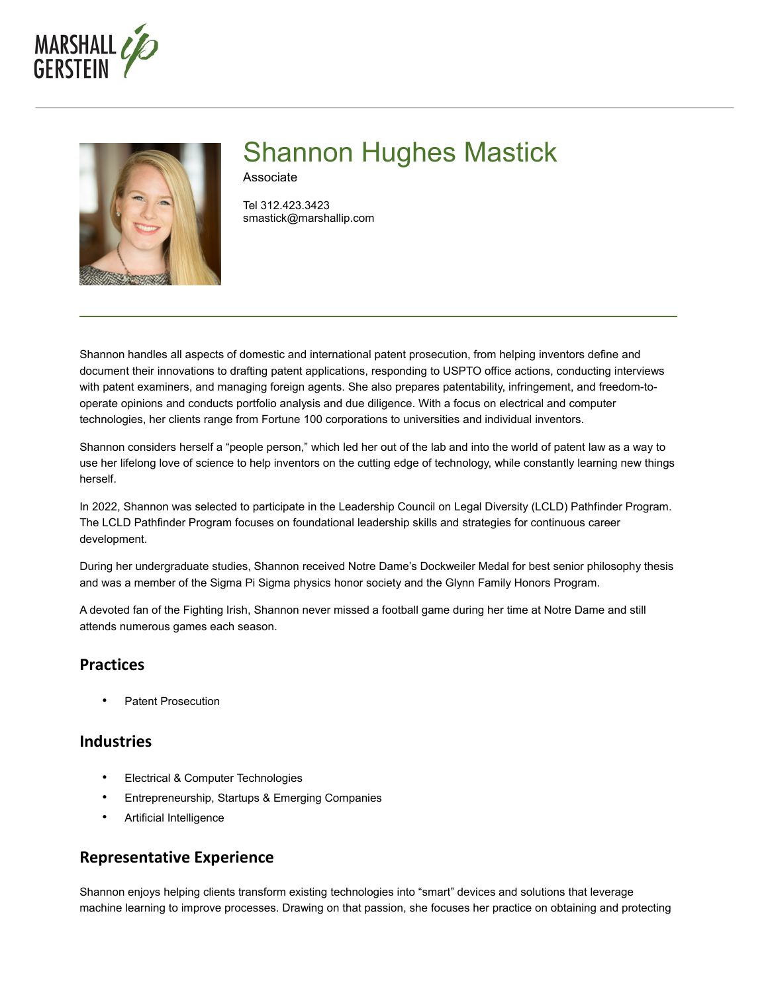



# Shannon Hughes Mastick

Associate

Tel 312.423.3423 smastick@marshallip.com

Shannon handles all aspects of domestic and international patent prosecution, from helping inventors define and document their innovations to drafting patent applications, responding to USPTO office actions, conducting interviews with patent examiners, and managing foreign agents. She also prepares patentability, infringement, and freedom-tooperate opinions and conducts portfolio analysis and due diligence. With a focus on electrical and computer technologies, her clients range from Fortune 100 corporations to universities and individual inventors.

Shannon considers herself a "people person," which led her out of the lab and into the world of patent law as a way to use her lifelong love of science to help inventors on the cutting edge of technology, while constantly learning new things herself.

In 2022, Shannon was selected to participate in the Leadership Council on Legal Diversity (LCLD) Pathfinder Program. The LCLD Pathfinder Program focuses on foundational leadership skills and strategies for continuous career development.

During her undergraduate studies, Shannon received Notre Dame's Dockweiler Medal for best senior philosophy thesis and was a member of the Sigma Pi Sigma physics honor society and the Glynn Family Honors Program.

A devoted fan of the Fighting Irish, Shannon never missed a football game during her time at Notre Dame and still attends numerous games each season.

## **Practices**

• Patent Prosecution

#### **Industries**

- Electrical & Computer Technologies
- Entrepreneurship, Startups & Emerging Companies
- Artificial Intelligence

## **Representative Experience**

Shannon enjoys helping clients transform existing technologies into "smart" devices and solutions that leverage machine learning to improve processes. Drawing on that passion, she focuses her practice on obtaining and protecting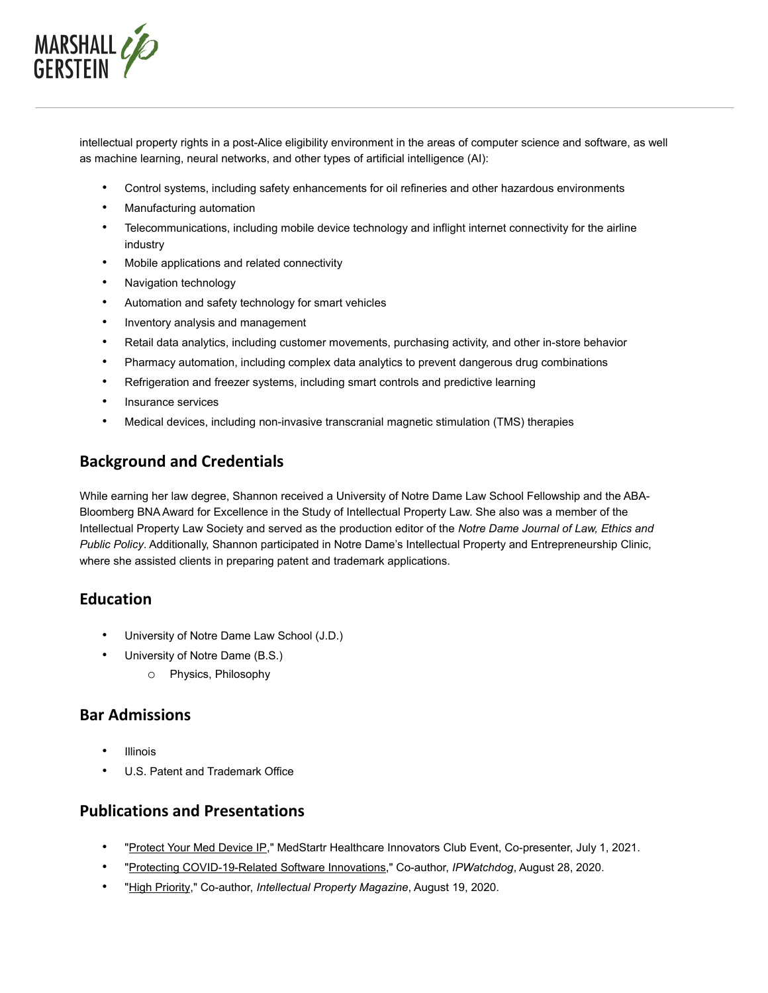

intellectual property rights in a post-Alice eligibility environment in the areas of computer science and software, as well as machine learning, neural networks, and other types of artificial intelligence (AI):

- Control systems, including safety enhancements for oil refineries and other hazardous environments
- Manufacturing automation
- Telecommunications, including mobile device technology and inflight internet connectivity for the airline industry
- Mobile applications and related connectivity
- Navigation technology
- Automation and safety technology for smart vehicles
- Inventory analysis and management
- Retail data analytics, including customer movements, purchasing activity, and other in-store behavior
- Pharmacy automation, including complex data analytics to prevent dangerous drug combinations
- Refrigeration and freezer systems, including smart controls and predictive learning
- Insurance services
- Medical devices, including non-invasive transcranial magnetic stimulation (TMS) therapies

## **Background and Credentials**

While earning her law degree, Shannon received a University of Notre Dame Law School Fellowship and the ABA-Bloomberg BNA Award for Excellence in the Study of Intellectual Property Law. She also was a member of the Intellectual Property Law Society and served as the production editor of the *Notre Dame Journal of Law, Ethics and Public Policy*. Additionally, Shannon participated in Notre Dame's Intellectual Property and Entrepreneurship Clinic, where she assisted clients in preparing patent and trademark applications.

## **Education**

- University of Notre Dame Law School (J.D.)
- University of Notre Dame (B.S.)
	- o Physics, Philosophy

#### **Bar Admissions**

- **Illinois**
- U.S. Patent and Trademark Office

## **Publications and Presentations**

- ["Protect Your Med Device IP,](https://www.marshallip.com/shannon-hughes-mastick/events/protect-your-med-device-ip-marshall-gerstein-joins-medstartr-healthcare-innovators-club-live-on-clubhouse/)" MedStartr Healthcare Innovators Club Event, Co-presenter, July 1, 2021.
- ["Protecting COVID-19-Related Software Innovations,](https://www.ipwatchdog.com/2020/08/28/protecting-covid-19-related-software-innovations/id=124647/)" Co-author, *IPWatchdog*, August 28, 2020.
- ["High Priority,](https://www.marshallip.com/insights/high-priority/)" Co-author, *Intellectual Property Magazine*, August 19, 2020.